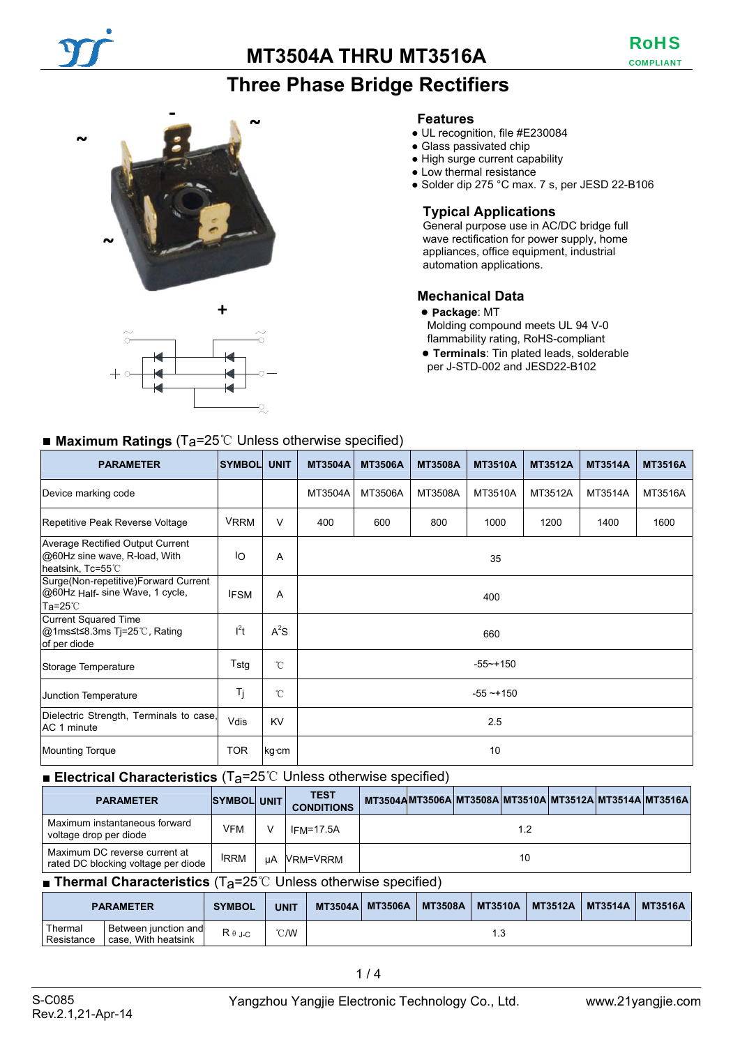# **Three Phase Bridge Rectifiers**





#### **Features**

- UL recognition, file #E230084
- Glass passivated chip
- High surge current capability
- Low thermal resistance
	- Solder dip 275 °C max. 7 s, per JESD 22-B106

#### **Typical Applications**

General purpose use in AC/DC bridge full wave rectification for power supply, home appliances, office equipment, industrial automation applications.

#### **Mechanical Data**

- **Package**: MT Molding compound meets UL 94 V-0
- flammability rating, RoHS-compliant
- **Terminals**: Tin plated leads, solderable per J-STD-002 and JESD22-B102

## ■ **Maximum Ratings** (Ta=25<sup>°</sup>C Unless otherwise specified)

| <b>PARAMETER</b>                                                                              | <b>SYMBOL</b> | <b>UNIT</b>  | <b>MT3504A</b> | <b>MT3506A</b> | <b>MT3508A</b> | <b>MT3510A</b> | <b>MT3512A</b> | <b>MT3514A</b> | <b>MT3516A</b> |
|-----------------------------------------------------------------------------------------------|---------------|--------------|----------------|----------------|----------------|----------------|----------------|----------------|----------------|
| Device marking code                                                                           |               |              | MT3504A        | MT3506A        | MT3508A        | MT3510A        | MT3512A        | MT3514A        | MT3516A        |
| Repetitive Peak Reverse Voltage                                                               | <b>VRRM</b>   | V            | 400            | 600            | 800            | 1000           | 1200           | 1400           | 1600           |
| <b>Average Rectified Output Current</b><br>@60Hz sine wave, R-load, With<br>heatsink, Tc=55°C | IO            | Α            | 35             |                |                |                |                |                |                |
| Surge(Non-repetitive)Forward Current<br>@60Hz Half- sine Wave, 1 cycle,<br>$Ta=25^\circ C$    | <b>IFSM</b>   | A            | 400            |                |                |                |                |                |                |
| <b>Current Squared Time</b><br>@1ms≤t≤8.3ms Tj=25℃, Rating<br>of per diode                    | $l^2t$        | $A^2S$       | 660            |                |                |                |                |                |                |
| Storage Temperature                                                                           | Tstg          | $^{\circ}$ C | $-55 - + 150$  |                |                |                |                |                |                |
| Junction Temperature                                                                          | Τj            | $^{\circ}$ C | $-55 - 150$    |                |                |                |                |                |                |
| Dielectric Strength, Terminals to case,<br>AC 1 minute                                        | Vdis          | <b>KV</b>    | 2.5            |                |                |                |                |                |                |
| <b>Mounting Torque</b>                                                                        | <b>TOR</b>    | kg cm        | 10             |                |                |                |                |                |                |

### ■ **Electrical Characteristics** (T<sub>a</sub>=25<sup>°</sup>C Unless otherwise specified)

| <b>PARAMETER</b>                                                     | SYMBOL UNIT |              | <b>TEST</b><br><b>CONDITIONS</b> | MT3504AMT3506A MT3508A MT3510A MT3512A MT3514A MT3516A |     |  |  |
|----------------------------------------------------------------------|-------------|--------------|----------------------------------|--------------------------------------------------------|-----|--|--|
| Maximum instantaneous forward<br>voltage drop per diode              | VFM         | $\mathsf{v}$ | $IFM=17.5A$                      |                                                        | 1.2 |  |  |
| Maximum DC reverse current at<br>rated DC blocking voltage per diode | <b>IRRM</b> | uA           | VRM=VRRM                         |                                                        | 10  |  |  |

#### ■ **Thermal Characteristics** (T<sub>a</sub>=25℃ Unless otherwise specified)

|                       | <b>PARAMETER</b>                            | <b>SYMBOL</b>  | <b>UNIT</b> |      | <b>MT3504A MT3506A</b> | <b>MT3508A</b> | <b>MT3510A</b> | <b>MT3512A</b> | <b>MT3514A</b> | <b>MT3516A</b> |
|-----------------------|---------------------------------------------|----------------|-------------|------|------------------------|----------------|----------------|----------------|----------------|----------------|
| Thermal<br>Resistance | Between junction and<br>case. With heatsink | $R \theta$ J-C | °C/W        | ن. ا |                        |                |                |                |                |                |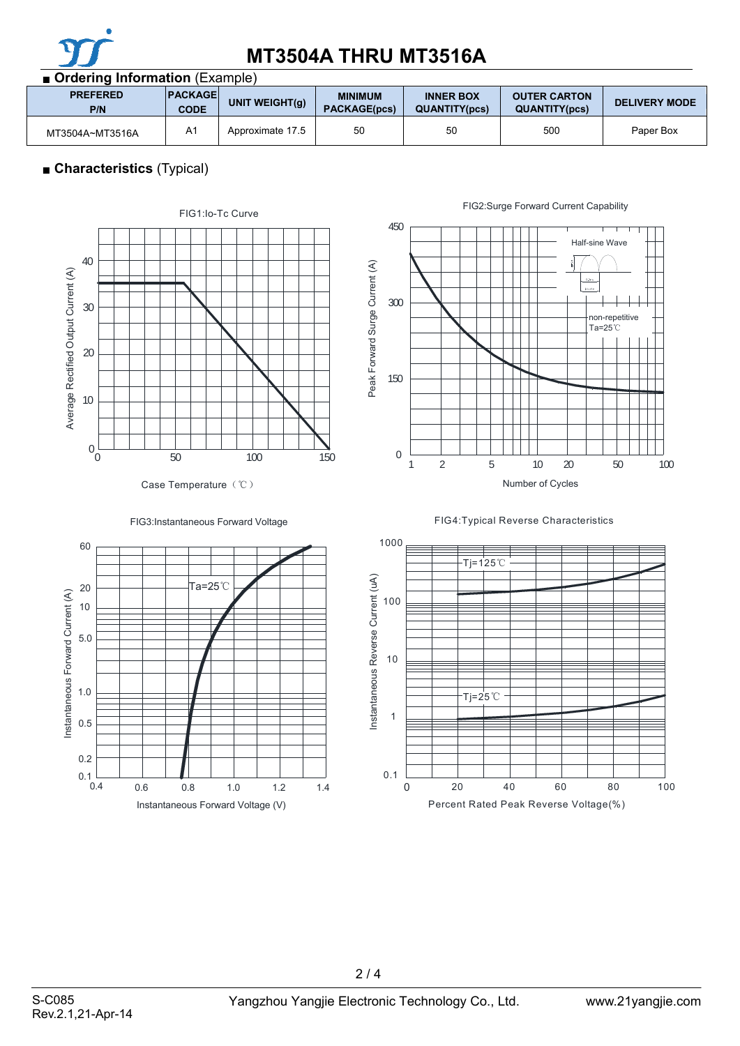

| ■ Ordering Information (Example) |                               |                   |                                       |                                          |                                             |                      |  |  |
|----------------------------------|-------------------------------|-------------------|---------------------------------------|------------------------------------------|---------------------------------------------|----------------------|--|--|
| <b>PREFERED</b><br>P/N           | <b>PACKAGE</b><br><b>CODE</b> | UNIT WEIGHT $(g)$ | <b>MINIMUM</b><br><b>PACKAGE(pcs)</b> | <b>INNER BOX</b><br><b>QUANTITY(pcs)</b> | <b>OUTER CARTON</b><br><b>QUANTITY(pcs)</b> | <b>DELIVERY MODE</b> |  |  |
| MT3504A~MT3516A                  | A <sub>1</sub>                | Approximate 17.5  | 50                                    | 50                                       | 500                                         | Paper Box            |  |  |

# ■ **Characteristics** (Typical)











1000 Tj=125℃ Instantaneous Reverse Current (uA) Instantaneous Reverse Current (uA) 100 10 Tj=25℃ 1 0.1 0 20 40 60 80 100 Percent Rated Peak Reverse Voltage(%)

2 / 4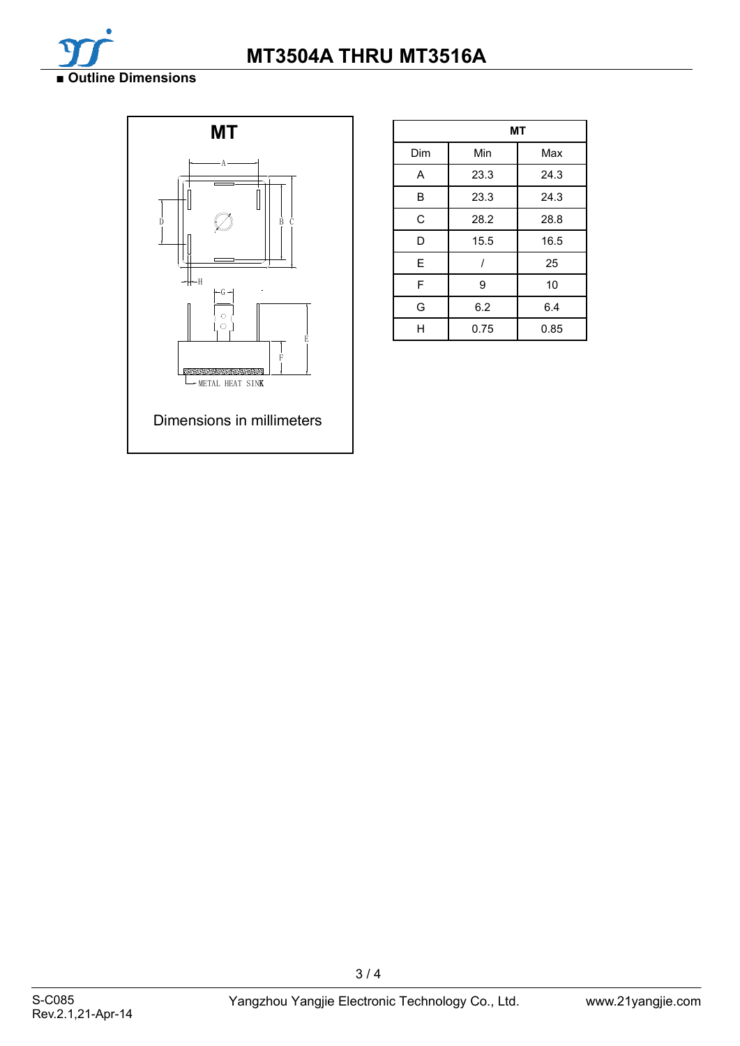



|     | МT   |      |  |  |  |  |
|-----|------|------|--|--|--|--|
| Dim | Min  | Max  |  |  |  |  |
| A   | 23.3 | 24.3 |  |  |  |  |
| В   | 23.3 | 24.3 |  |  |  |  |
| C   | 28.2 | 28.8 |  |  |  |  |
| D   | 15.5 | 16.5 |  |  |  |  |
| E   |      | 25   |  |  |  |  |
| F   | 9    | 10   |  |  |  |  |
| G   | 6.2  | 6.4  |  |  |  |  |
| н   | 0.75 | 0.85 |  |  |  |  |

3 / 4